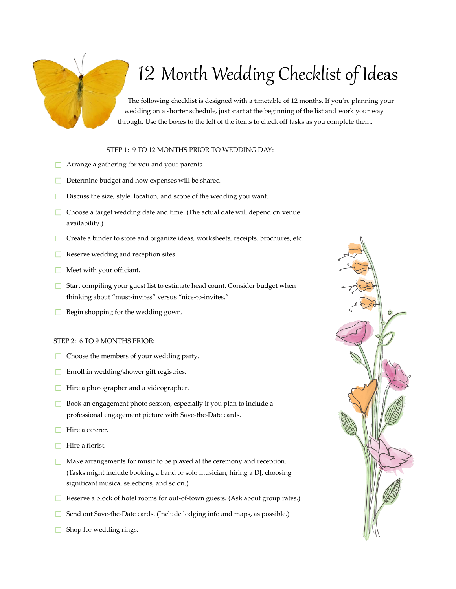# 12 Month Wedding Checklist of Ideas

The following checklist is designed with a timetable of 12 months. If you're planning your wedding on a shorter schedule, just start at the beginning of the list and work your way through. Use the boxes to the left of the items to check off tasks as you complete them.

# STEP 1: 9 TO 12 MONTHS PRIOR TO WEDDING DAY:

- **□** Arrange a gathering for you and your parents.
- ☐ Determine budget and how expenses will be shared.
- ☐ Discuss the size, style, location, and scope of the wedding you want.
- ☐ Choose a target wedding date and time. (The actual date will depend on venue availability.)
- □ Create a binder to store and organize ideas, worksheets, receipts, brochures, etc.
- **□** Reserve wedding and reception sites.
- $\Box$  Meet with your officiant.
- **□** Start compiling your guest list to estimate head count. Consider budget when thinking about "must-invites" versus "nice-to-invites."
- $\Box$  Begin shopping for the wedding gown.

#### STEP 2: 6 TO 9 MONTHS PRIOR:

- ☐ Choose the members of your wedding party.
- ☐ Enroll in wedding/shower gift registries.
- ☐ Hire a photographer and a videographer.
- ☐ Book an engagement photo session, especially if you plan to include a professional engagement picture with Save-the-Date cards.
- □ Hire a caterer.
- ☐ Hire a florist.
- **□** Make arrangements for music to be played at the ceremony and reception. (Tasks might include booking a band or solo musician, hiring a DJ, choosing significant musical selections, and so on.).
- ☐ Reserve a block of hotel rooms for out-of-town guests. (Ask about group rates.)
- ☐ Send out Save-the-Date cards. (Include lodging info and maps, as possible.)
- $\Box$  Shop for wedding rings.

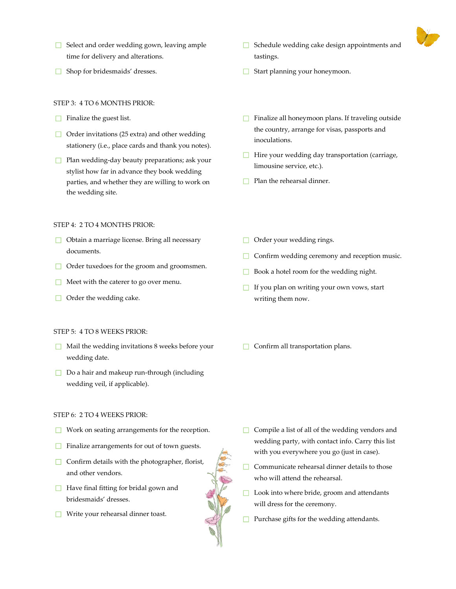

- ☐ Select and order wedding gown, leaving ample time for delivery and alterations.
- ☐ Shop for bridesmaids' dresses.

# STEP 3: 4 TO 6 MONTHS PRIOR:

- $\Box$  Finalize the guest list.
- $\Box$  Order invitations (25 extra) and other wedding stationery (i.e., place cards and thank you notes).
- $□$  Plan wedding-day beauty preparations; ask your stylist how far in advance they book wedding parties, and whether they are willing to work on the wedding site.

#### STEP 4: 2 TO 4 MONTHS PRIOR:

- ☐ Obtain a marriage license. Bring all necessary documents.
- ☐ Order tuxedoes for the groom and groomsmen.
- ☐ Meet with the caterer to go over menu.
- $\Box$  Order the wedding cake.

#### STEP 5: 4 TO 8 WEEKS PRIOR:

- $\Box$  Mail the wedding invitations 8 weeks before your wedding date.
- ☐ Do a hair and makeup run-through (including wedding veil, if applicable).

# STEP 6: 2 TO 4 WEEKS PRIOR:

- ☐ Work on seating arrangements for the reception.
- **□** Finalize arrangements for out of town guests.
- □ Confirm details with the photographer, florist,<br>and other vendors.<br>□ Have final fitting for bridal gown and<br>bridesmaids' dresses.<br>□ Write your rehearsal dinner toast. and other vendors.
- **□** Have final fitting for bridal gown and bridesmaids' dresses.
- ☐ Write your rehearsal dinner toast.
- ☐ Schedule wedding cake design appointments and tastings.
- ☐ Start planning your honeymoon.
- ☐ Finalize all honeymoon plans. If traveling outside the country, arrange for visas, passports and inoculations.
- ☐ Hire your wedding day transportation (carriage, limousine service, etc.).
- $\Box$  Plan the rehearsal dinner.
- $\Box$  Order your wedding rings.
- **□** Confirm wedding ceremony and reception music.
- ☐ Book a hotel room for the wedding night.
- $\Box$  If you plan on writing your own vows, start writing them now.
- ☐ Confirm all transportation plans.

- ☐ Compile a list of all of the wedding vendors and wedding party, with contact info. Carry this list with you everywhere you go (just in case).
- $\Box$  Communicate rehearsal dinner details to those who will attend the rehearsal.
- ☐ Look into where bride, groom and attendants will dress for the ceremony.
- ☐ Purchase gifts for the wedding attendants.